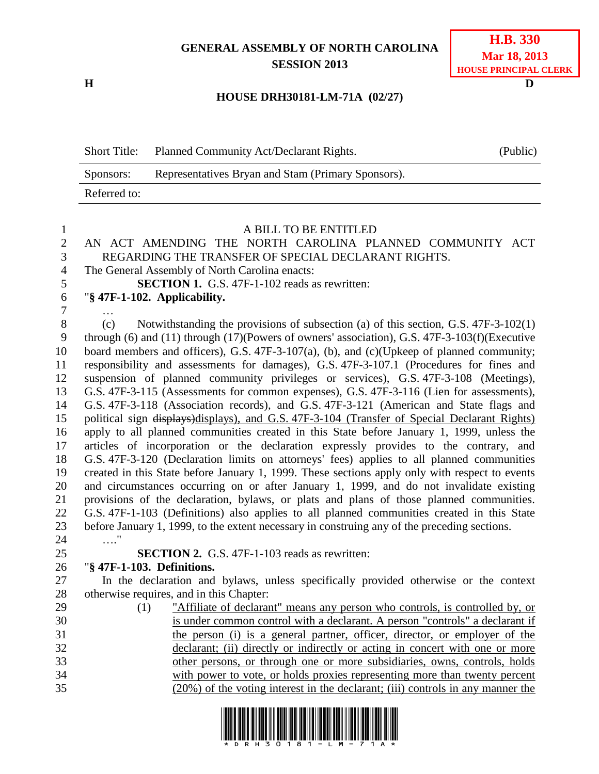## **GENERAL ASSEMBLY OF NORTH CAROLINA SESSION 2013**

**H D**

## **H.B. 330 Mar 18, 2013 HOUSE PRINCIPAL CLERK**

## **HOUSE DRH30181-LM-71A (02/27)**

| <b>Short Title:</b> | Planned Community Act/Declarant Rights.            | (Public) |
|---------------------|----------------------------------------------------|----------|
| Sponsors:           | Representatives Bryan and Stam (Primary Sponsors). |          |
| Referred to:        |                                                    |          |

| 1              | A BILL TO BE ENTITLED                                                                                    |
|----------------|----------------------------------------------------------------------------------------------------------|
| $\overline{2}$ | AN ACT AMENDING THE NORTH CAROLINA PLANNED COMMUNITY ACT                                                 |
| 3              | REGARDING THE TRANSFER OF SPECIAL DECLARANT RIGHTS.                                                      |
| $\overline{4}$ | The General Assembly of North Carolina enacts:                                                           |
| 5              | <b>SECTION 1.</b> G.S. 47F-1-102 reads as rewritten:                                                     |
| 6              | "§ 47F-1-102. Applicability.                                                                             |
| $\tau$         |                                                                                                          |
| $8\,$          | (c)<br>Notwithstanding the provisions of subsection (a) of this section, G.S. $47F-3-102(1)$             |
| 9              | through $(6)$ and $(11)$ through $(17)$ (Powers of owners' association), G.S. 47F-3-103 $(f)$ (Executive |
| 10             | board members and officers), G.S. 47F-3-107(a), (b), and (c)(Upkeep of planned community;                |
| 11             | responsibility and assessments for damages), G.S. 47F-3-107.1 (Procedures for fines and                  |
| 12             | suspension of planned community privileges or services), G.S. 47F-3-108 (Meetings),                      |
| 13             | G.S. 47F-3-115 (Assessments for common expenses), G.S. 47F-3-116 (Lien for assessments),                 |
| 14             | G.S. 47F-3-118 (Association records), and G.S. 47F-3-121 (American and State flags and                   |
| 15             | political sign displays)displays), and G.S. 47F-3-104 (Transfer of Special Declarant Rights)             |
| 16             | apply to all planned communities created in this State before January 1, 1999, unless the                |
| 17             | articles of incorporation or the declaration expressly provides to the contrary, and                     |
| 18             | G.S. 47F-3-120 (Declaration limits on attorneys' fees) applies to all planned communities                |
| 19             | created in this State before January 1, 1999. These sections apply only with respect to events           |
| 20             | and circumstances occurring on or after January 1, 1999, and do not invalidate existing                  |
| 21             | provisions of the declaration, bylaws, or plats and plans of those planned communities.                  |
| 22             | G.S. 47F-1-103 (Definitions) also applies to all planned communities created in this State               |
| 23             | before January 1, 1999, to the extent necessary in construing any of the preceding sections.             |
| 24             | $\ldots$ "                                                                                               |
| 25             | <b>SECTION 2.</b> G.S. 47F-1-103 reads as rewritten:                                                     |
| 26             | "§ 47F-1-103. Definitions.                                                                               |
| 27             | In the declaration and bylaws, unless specifically provided otherwise or the context                     |
| 28             | otherwise requires, and in this Chapter:                                                                 |
| 29             | "Affiliate of declarant" means any person who controls, is controlled by, or<br>(1)                      |
| 30             | is under common control with a declarant. A person "controls" a declarant if                             |
| 31             | the person (i) is a general partner, officer, director, or employer of the                               |
| 32             | declarant; (ii) directly or indirectly or acting in concert with one or more                             |
| 33             | other persons, or through one or more subsidiaries, owns, controls, holds                                |
| 34             | with power to vote, or holds proxies representing more than twenty percent                               |
| 35             | (20%) of the voting interest in the declarant; (iii) controls in any manner the                          |
|                |                                                                                                          |

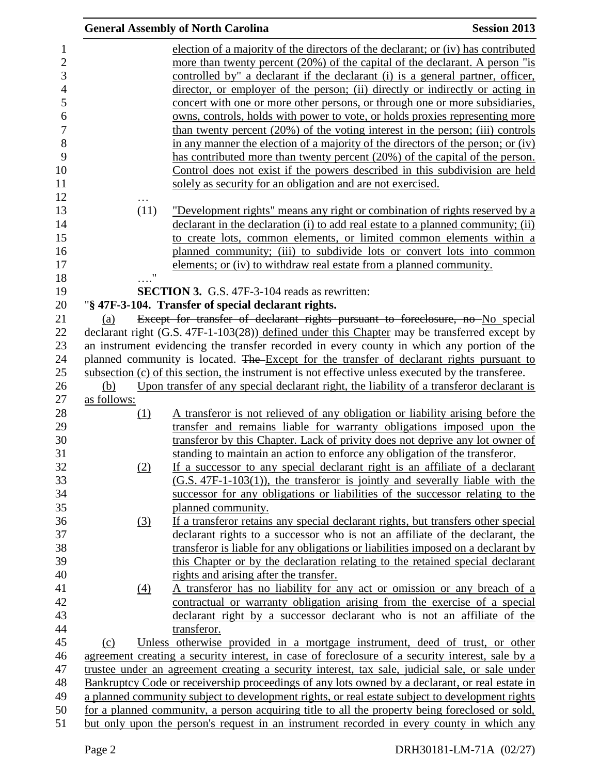|                    | <b>General Assembly of North Carolina</b>                                                                                                                                                          | <b>Session 2013</b> |
|--------------------|----------------------------------------------------------------------------------------------------------------------------------------------------------------------------------------------------|---------------------|
|                    | election of a majority of the directors of the declarant; or (iv) has contributed                                                                                                                  |                     |
|                    | more than twenty percent (20%) of the capital of the declarant. A person "is                                                                                                                       |                     |
|                    | controlled by" a declarant if the declarant (i) is a general partner, officer,                                                                                                                     |                     |
|                    | director, or employer of the person; (ii) directly or indirectly or acting in                                                                                                                      |                     |
|                    | concert with one or more other persons, or through one or more subsidiaries,                                                                                                                       |                     |
|                    | <u>owns, controls, holds with power to vote, or holds proxies representing more</u>                                                                                                                |                     |
|                    | than twenty percent $(20\%)$ of the voting interest in the person; (iii) controls                                                                                                                  |                     |
|                    | in any manner the election of a majority of the directors of the person; or (iv)                                                                                                                   |                     |
|                    | has contributed more than twenty percent (20%) of the capital of the person.                                                                                                                       |                     |
|                    | Control does not exist if the powers described in this subdivision are held                                                                                                                        |                     |
|                    | solely as security for an obligation and are not exercised.                                                                                                                                        |                     |
| .                  |                                                                                                                                                                                                    |                     |
| (11)               | <u>"Development rights" means any right or combination of rights reserved by a</u>                                                                                                                 |                     |
|                    | declarant in the declaration (i) to add real estate to a planned community; (ii)                                                                                                                   |                     |
|                    | to create lots, common elements, or limited common elements within a                                                                                                                               |                     |
|                    | planned community; (iii) to subdivide lots or convert lots into common                                                                                                                             |                     |
|                    | elements; or (iv) to withdraw real estate from a planned community.                                                                                                                                |                     |
| $\pmb{\mathsf{H}}$ |                                                                                                                                                                                                    |                     |
|                    | <b>SECTION 3.</b> G.S. 47F-3-104 reads as rewritten:                                                                                                                                               |                     |
|                    | "§ 47F-3-104. Transfer of special declarant rights.                                                                                                                                                |                     |
| (a)                | Except for transfer of declarant rights pursuant to foreclosure, no No special                                                                                                                     |                     |
|                    | declarant right (G.S. 47F-1-103(28)) defined under this Chapter may be transferred except by                                                                                                       |                     |
|                    | an instrument evidencing the transfer recorded in every county in which any portion of the                                                                                                         |                     |
|                    | planned community is located. The Except for the transfer of declarant rights pursuant to                                                                                                          |                     |
|                    | subsection (c) of this section, the instrument is not effective unless executed by the transferee.                                                                                                 |                     |
| (b)                | Upon transfer of any special declarant right, the liability of a transferor declarant is                                                                                                           |                     |
| as follows:        |                                                                                                                                                                                                    |                     |
| <u>(1)</u>         | A transferor is not relieved of any obligation or liability arising before the                                                                                                                     |                     |
|                    | transfer and remains liable for warranty obligations imposed upon the                                                                                                                              |                     |
|                    | transferor by this Chapter. Lack of privity does not deprive any lot owner of                                                                                                                      |                     |
|                    | standing to maintain an action to enforce any obligation of the transferor.                                                                                                                        |                     |
| (2)                | If a successor to any special declarant right is an affiliate of a declarant                                                                                                                       |                     |
|                    | $(G.S. 47F-1-103(1))$ , the transferor is jointly and severally liable with the                                                                                                                    |                     |
|                    | successor for any obligations or liabilities of the successor relating to the                                                                                                                      |                     |
|                    | planned community.                                                                                                                                                                                 |                     |
| (3)                | If a transferor retains any special declarant rights, but transfers other special                                                                                                                  |                     |
|                    | declarant rights to a successor who is not an affiliate of the declarant, the                                                                                                                      |                     |
|                    | transferor is liable for any obligations or liabilities imposed on a declarant by                                                                                                                  |                     |
|                    | this Chapter or by the declaration relating to the retained special declarant                                                                                                                      |                     |
|                    | rights and arising after the transfer.                                                                                                                                                             |                     |
| (4)                | A transferor has no liability for any act or omission or any breach of a                                                                                                                           |                     |
|                    | contractual or warranty obligation arising from the exercise of a special                                                                                                                          |                     |
|                    | declarant right by a successor declarant who is not an affiliate of the                                                                                                                            |                     |
|                    | transferor.                                                                                                                                                                                        |                     |
| (c)                | Unless otherwise provided in a mortgage instrument, deed of trust, or other                                                                                                                        |                     |
|                    | agreement creating a security interest, in case of foreclosure of a security interest, sale by a                                                                                                   |                     |
|                    | trustee under an agreement creating a security interest, tax sale, judicial sale, or sale under<br>Bankruptcy Code or receivership proceedings of any lots owned by a declarant, or real estate in |                     |
|                    | a planned community subject to development rights, or real estate subject to development rights                                                                                                    |                     |
|                    | for a planned community, a person acquiring title to all the property being foreclosed or sold,                                                                                                    |                     |
|                    | but only upon the person's request in an instrument recorded in every county in which any                                                                                                          |                     |
|                    |                                                                                                                                                                                                    |                     |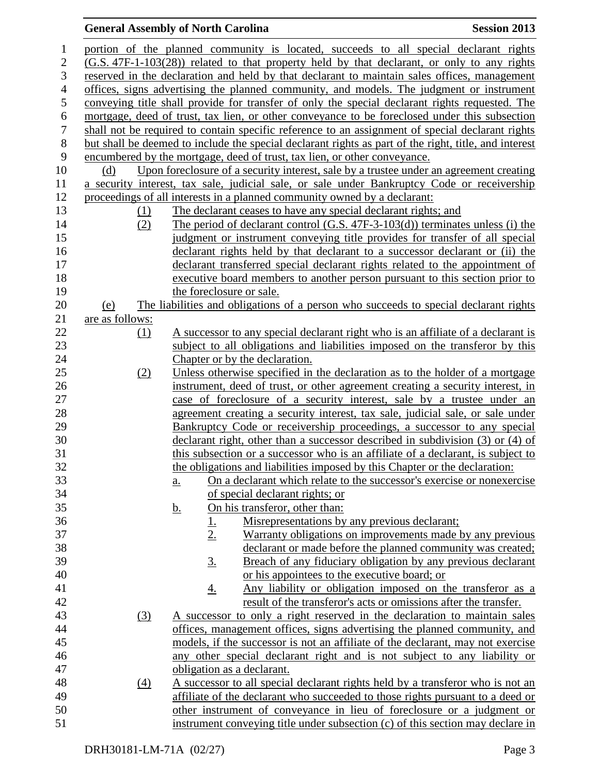## **General Assembly of North Carolina Session 2013**

| $\mathbf{1}$     |                 |                   | portion of the planned community is located, succeeds to all special declarant rights                 |
|------------------|-----------------|-------------------|-------------------------------------------------------------------------------------------------------|
| $\overline{2}$   |                 |                   | (G.S. 47F-1-103(28)) related to that property held by that declarant, or only to any rights           |
| 3                |                 |                   |                                                                                                       |
|                  |                 |                   | reserved in the declaration and held by that declarant to maintain sales offices, management          |
| $\overline{4}$   |                 |                   | offices, signs advertising the planned community, and models. The judgment or instrument              |
| 5                |                 |                   | conveying title shall provide for transfer of only the special declarant rights requested. The        |
| 6                |                 |                   | mortgage, deed of trust, tax lien, or other conveyance to be foreclosed under this subsection         |
| $\boldsymbol{7}$ |                 |                   | shall not be required to contain specific reference to an assignment of special declarant rights      |
| $8\,$            |                 |                   | but shall be deemed to include the special declarant rights as part of the right, title, and interest |
| 9                |                 |                   | encumbered by the mortgage, deed of trust, tax lien, or other conveyance.                             |
| 10               | (d)             |                   | Upon foreclosure of a security interest, sale by a trustee under an agreement creating                |
| 11               |                 |                   | a security interest, tax sale, judicial sale, or sale under Bankruptcy Code or receivership           |
| 12               |                 |                   | proceedings of all interests in a planned community owned by a declarant:                             |
| 13               |                 | (1)               | The declarant ceases to have any special declarant rights; and                                        |
| 14               |                 | (2)               | The period of declarant control $(G.S. 47F-3-103(d))$ terminates unless (i) the                       |
| 15               |                 |                   | judgment or instrument conveying title provides for transfer of all special                           |
| 16               |                 |                   | declarant rights held by that declarant to a successor declarant or (ii) the                          |
| 17               |                 |                   | declarant transferred special declarant rights related to the appointment of                          |
| 18               |                 |                   | executive board members to another person pursuant to this section prior to                           |
| 19               |                 |                   | the foreclosure or sale.                                                                              |
| 20               | (e)             |                   | The liabilities and obligations of a person who succeeds to special declarant rights                  |
| 21               | are as follows: |                   |                                                                                                       |
| 22               |                 | (1)               | A successor to any special declarant right who is an affiliate of a declarant is                      |
| 23               |                 |                   | subject to all obligations and liabilities imposed on the transferor by this                          |
| 24               |                 |                   | Chapter or by the declaration.                                                                        |
| 25               |                 | (2)               | Unless otherwise specified in the declaration as to the holder of a mortgage                          |
| 26               |                 |                   | instrument, deed of trust, or other agreement creating a security interest, in                        |
| 27               |                 |                   | case of foreclosure of a security interest, sale by a trustee under an                                |
| 28               |                 |                   | agreement creating a security interest, tax sale, judicial sale, or sale under                        |
| 29               |                 |                   | Bankruptcy Code or receivership proceedings, a successor to any special                               |
| 30               |                 |                   | declarant right, other than a successor described in subdivision (3) or (4) of                        |
| 31               |                 |                   | this subsection or a successor who is an affiliate of a declarant, is subject to                      |
| 32               |                 |                   | the obligations and liabilities imposed by this Chapter or the declaration:                           |
| 33               |                 |                   | On a declarant which relate to the successor's exercise or nonexercise                                |
| 34               |                 |                   | <u>a.</u>                                                                                             |
| 35               |                 |                   | <u>of special declarant rights; or</u><br>On his transferor, other than:                              |
| 36               |                 |                   | <u>b.</u>                                                                                             |
|                  |                 |                   | Misrepresentations by any previous declarant;<br><u>1.</u>                                            |
| 37               |                 |                   | 2.<br>Warranty obligations on improvements made by any previous                                       |
| 38               |                 |                   | declarant or made before the planned community was created;                                           |
| 39               |                 |                   | Breach of any fiduciary obligation by any previous declarant<br><u>3.</u>                             |
| 40               |                 |                   | or his appointees to the executive board; or                                                          |
| 41               |                 |                   | Any liability or obligation imposed on the transferor as a<br><u>4.</u>                               |
| 42               |                 |                   | result of the transferor's acts or omissions after the transfer.                                      |
| 43               |                 | (3)               | A successor to only a right reserved in the declaration to maintain sales                             |
| 44               |                 |                   | offices, management offices, signs advertising the planned community, and                             |
| 45               |                 |                   | models, if the successor is not an affiliate of the declarant, may not exercise                       |
| 46               |                 |                   | any other special declarant right and is not subject to any liability or                              |
| 47               |                 |                   | obligation as a declarant.                                                                            |
| 48               |                 | $\underline{(4)}$ | A successor to all special declarant rights held by a transferor who is not an                        |
| 49               |                 |                   | affiliate of the declarant who succeeded to those rights pursuant to a deed or                        |
| 50               |                 |                   | other instrument of conveyance in lieu of foreclosure or a judgment or                                |
| 51               |                 |                   | instrument conveying title under subsection (c) of this section may declare in                        |